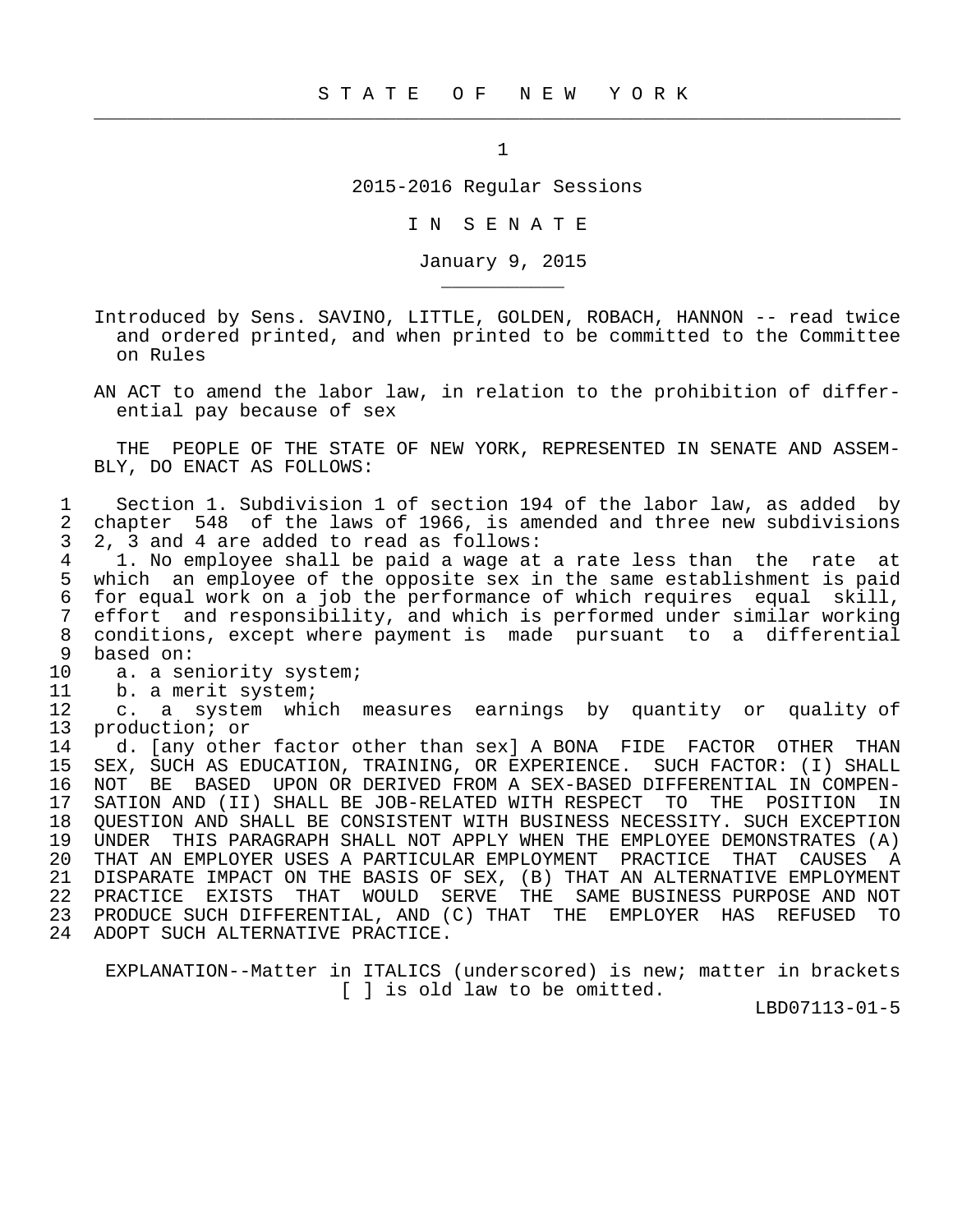$\frac{1}{2}$  , and the contribution of the contribution of the contribution of the contribution of the contribution of the contribution of the contribution of the contribution of the contribution of the contribution of the c

2015-2016 Regular Sessions

I N S E N A T E

January 9, 2015

- Introduced by Sens. SAVINO, LITTLE, GOLDEN, ROBACH, HANNON -- read twice and ordered printed, and when printed to be committed to the Committee on Rules
- AN ACT to amend the labor law, in relation to the prohibition of differ ential pay because of sex

 THE PEOPLE OF THE STATE OF NEW YORK, REPRESENTED IN SENATE AND ASSEM- BLY, DO ENACT AS FOLLOWS:

1 Section 1. Subdivision 1 of section 194 of the labor law, as added by<br>2 chapter 548 of the laws of 1966, is amended and three new subdivisions 2 chapter 548 of the laws of 1966, is amended and three new subdivisions<br>3 2, 3 and 4 are added to read as follows: 3 2, 3 and 4 are added to read as follows:<br>4 1. No employee shall be paid a wage at

4 1. No employee shall be paid a wage at a rate less than the rate at<br>5 which an employee of the opposite sex in the same establishment is paid 5 which an employee of the opposite sex in the same establishment is paid<br>6 for equal work on a job the performance of which requires equal skill, 6 for equal work on a job the performance of which requires equal skill, 7 effort and responsibility, and which is performed under similar working<br>8 conditions, except where payment is made pursuant to a differential 8 conditions, except where payment is made pursuant to a differential<br>9 based on: based on:

10 a. a seniority system;<br>11 b. a merit system;

\_\_\_\_\_\_\_\_\_\_\_

11 b. a merit system;<br>12 c. a system whi

12 c. a system which measures earnings by quantity or quality of<br>13 production; or production; or

14 d. [any other factor other than sex] A BONA FIDE FACTOR OTHER THAN<br>15 SEX, SUCH AS EDUCATION, TRAINING, OR EXPERIENCE. SUCH FACTOR: (I) SHALL SEX, SUCH AS EDUCATION, TRAINING, OR EXPERIENCE. SUCH FACTOR: (I) SHALL 16 NOT BE BASED UPON OR DERIVED FROM A SEX-BASED DIFFERENTIAL IN COMPEN-<br>17 SATION AND (II) SHALL BE JOB-RELATED WITH RESPECT TO THE POSITION IN 17 SATION AND (II) SHALL BE JOB-RELATED WITH RESPECT TO THE POSITION IN<br>18 OUESTION AND SHALL BE CONSISTENT WITH BUSINESS NECESSITY, SUCH EXCEPTION 18 QUESTION AND SHALL BE CONSISTENT WITH BUSINESS NECESSITY. SUCH EXCEPTION<br>19 UNDER THIS PARAGRAPH SHALL NOT APPLY WHEN THE EMPLOYEE DEMONSTRATES (A) UNDER THIS PARAGRAPH SHALL NOT APPLY WHEN THE EMPLOYEE DEMONSTRATES (A) 20 THAT AN EMPLOYER USES A PARTICULAR EMPLOYMENT PRACTICE THAT CAUSES A 21 DISPARATE IMPACT ON THE BASIS OF SEX, (B) THAT AN ALTERNATIVE EMPLOYMENT 22 PRACTICE EXISTS THAT WOULD SERVE THE SAME BUSINESS PURPOSE AND NOT 23 PRODUCE SUCH DIFFERENTIAL, AND (C) THAT THE EMPLOYER HAS REFUSED TO 24 ADOPT SUCH ALTERNATIVE PRACTICE.

 EXPLANATION--Matter in ITALICS (underscored) is new; matter in brackets [ ] is old law to be omitted.

LBD07113-01-5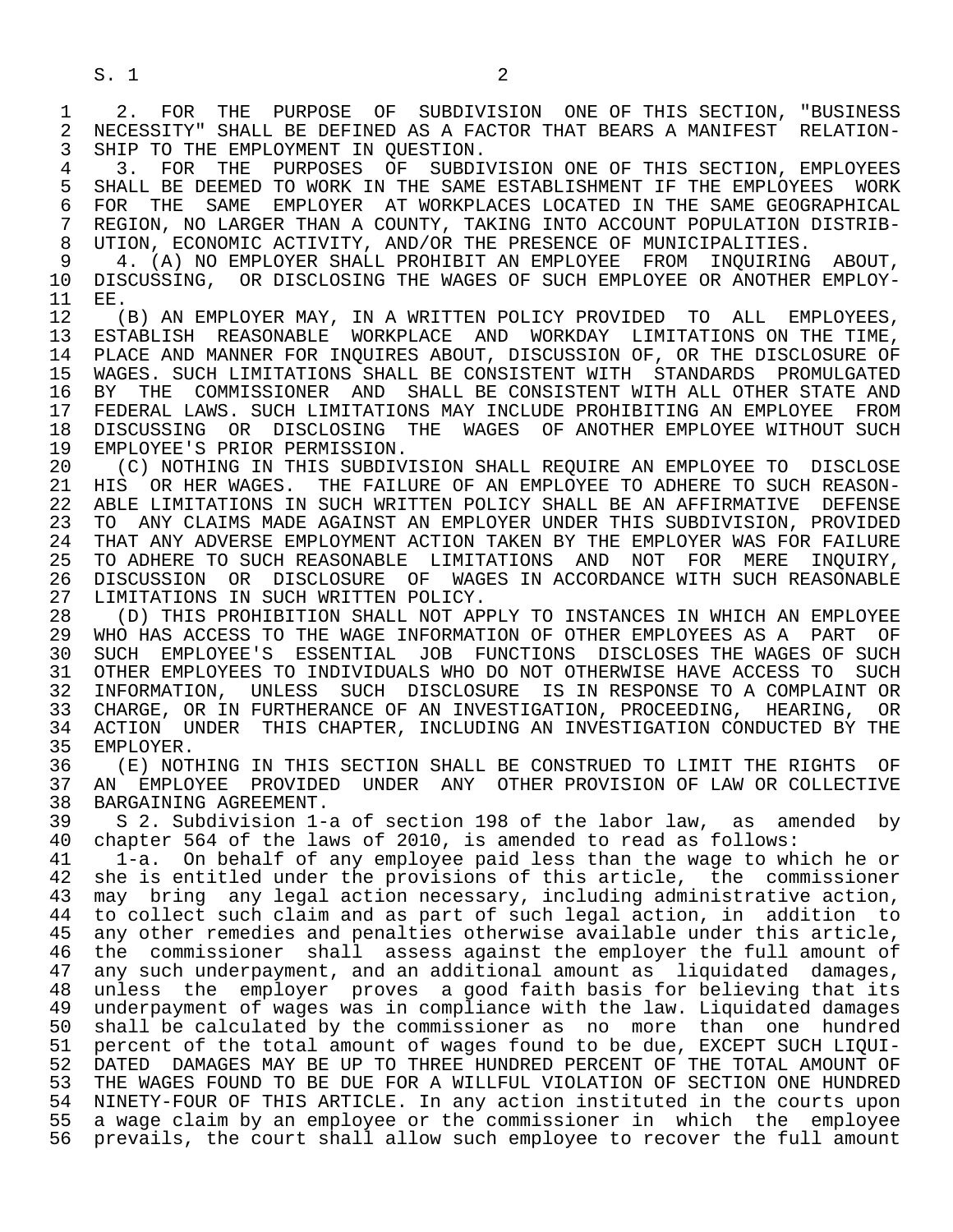S. 1 2

1 2. FOR THE PURPOSE OF SUBDIVISION ONE OF THIS SECTION, "BUSINESS<br>2 NECESSITY" SHALL BE DEFINED AS A FACTOR THAT BEARS A MANIFEST RELATION-2 NECESSITY" SHALL BE DEFINED AS A FACTOR THAT BEARS A MANIFEST RELATION-<br>3 SHIP TO THE EMPLOYMENT IN OUESTION. SHIP TO THE EMPLOYMENT IN OUESTION.

4 3. FOR THE PURPOSES OF SUBDIVISION ONE OF THIS SECTION, EMPLOYEES<br>5 SHALL BE DEEMED TO WORK IN THE SAME ESTABLISHMENT IF THE EMPLOYEES WORK 5 SHALL BE DEEMED TO WORK IN THE SAME ESTABLISHMENT IF THE EMPLOYEES WORK<br>6 FOR THE SAME EMPLOYER AT WORKPLACES LOCATED IN THE SAME GEOGRAPHICAL 6 FOR THE SAME EMPLOYER AT WORKPLACES LOCATED IN THE SAME GEOGRAPHICAL<br>7 REGION, NO LARGER THAN A COUNTY, TAKING INTO ACCOUNT POPULATION DISTRIB-7 REGION, NO LARGER THAN A COUNTY, TAKING INTO ACCOUNT POPULATION DISTRIB-<br>8 UTION, ECONOMIC ACTIVITY, AND/OR THE PRESENCE OF MUNICIPALITIES. 8 UTION, ECONOMIC ACTIVITY, AND/OR THE PRESENCE OF MUNICIPALITIES.<br>9 4. (A) NO EMPLOYER SHALL PROHIBIT AN EMPLOYEE FROM INOUIRING

9 4. (A) NO EMPLOYER SHALL PROHIBIT AN EMPLOYEE FROM INQUIRING ABOUT,<br>10 DISCUSSING, OR DISCLOSING THE WAGES OF SUCH EMPLOYEE OR ANOTHER EMPLOY-10 DISCUSSING, OR DISCLOSING THE WAGES OF SUCH EMPLOYEE OR ANOTHER EMPLOY-<br>11 EE.  $11$  EE.<br> $12$  (

12 (B) AN EMPLOYER MAY, IN A WRITTEN POLICY PROVIDED TO ALL EMPLOYEES,<br>13 ESTABLISH REASONABLE WORKPLACE AND WORKDAY LIMITATIONS ON THE TIME. 13 ESTABLISH REASONABLE WORKPLACE AND WORKDAY LIMITATIONS ON THE TIME,<br>14 PLACE AND MANNER FOR INOUIRES ABOUT, DISCUSSION OF, OR THE DISCLOSURE OF PLACE AND MANNER FOR INQUIRES ABOUT, DISCUSSION OF, OR THE DISCLOSURE OF 15 WAGES. SUCH LIMITATIONS SHALL BE CONSISTENT WITH STANDARDS PROMULGATED<br>16 BY THE COMMISSIONER AND SHALL BE CONSISTENT WITH ALL OTHER STATE AND 16 BY THE COMMISSIONER AND SHALL BE CONSISTENT WITH ALL OTHER STATE AND<br>17 FEDERAL LAWS, SUCH LIMITATIONS MAY INCLUDE PROHIBITING AN EMPLOYEE FROM 17 FEDERAL LAWS. SUCH LIMITATIONS MAY INCLUDE PROHIBITING AN EMPLOYEE FROM<br>18 DISCUSSING OR DISCLOSING THE WAGES OF ANOTHER EMPLOYEE WITHOUT SUCH 18 DISCUSSING OR DISCLOSING THE WAGES OF ANOTHER EMPLOYEE WITHOUT SUCH 19 EMPLOYEE'S PRIOR PERMISSION. 19 EMPLOYEE'S PRIOR PERMISSION.<br>20 (C) NOTHING IN THIS SUBDIV

20 (C) NOTHING IN THIS SUBDIVISION SHALL REQUIRE AN EMPLOYEE TO DISCLOSE<br>21 HIS OR HER WAGES. THE FAILURE OF AN EMPLOYEE TO ADHERE TO SUCH REASON-21 HIS OR HER WAGES. THE FAILURE OF AN EMPLOYEE TO ADHERE TO SUCH REASON-<br>22 ABLE LIMITATIONS IN SUCH WRITTEN POLICY SHALL BE AN AFFIRMATIVE DEFENSE 22 ABLE LIMITATIONS IN SUCH WRITTEN POLICY SHALL BE AN AFFIRMATIVE DEFENSE<br>23 TO ANY CLAIMS MADE AGAINST AN EMPLOYER UNDER THIS SUBDIVISION, PROVIDED 23 TO ANY CLAIMS MADE AGAINST AN EMPLOYER UNDER THIS SUBDIVISION, PROVIDED 24 THAT ANY ADVERSE EMPLOYMENT ACTION TAKEN BY THE EMPLOYER WAS FOR FAILURE<br>25 TO ADHERE TO SUCH REASONABLE LIMITATIONS AND NOT FOR MERE INOUIRY. 25 TO ADHERE TO SUCH REASONABLE LIMITATIONS AND NOT FOR MERE INQUIRY, 26 DISCUSSION OR DISCLOSURE OF WAGES IN ACCORDANCE WITH SUCH REASONABLE<br>27 LIMITATIONS IN SUCH WRITTEN POLICY. 27 LIMITATIONS IN SUCH WRITTEN POLICY.<br>28 (D) THIS PROHIBITION SHALL NOT AP

28 (D) THIS PROHIBITION SHALL NOT APPLY TO INSTANCES IN WHICH AN EMPLOYEE<br>29 WHO HAS ACCESS TO THE WAGE INFORMATION OF OTHER EMPLOYEES AS A PART OF 29 WHO HAS ACCESS TO THE WAGE INFORMATION OF OTHER EMPLOYEES AS A PART OF<br>30 SUCH EMPLOYEE'S ESSENTIAL JOB FUNCTIONS DISCLOSES THE WAGES OF SUCH 30 SUCH EMPLOYEE'S ESSENTIAL JOB FUNCTIONS DISCLOSES THE WAGES OF SUCH 31 OTHER EMPLOYEES TO INDIVIDUALS WHO DO NOT OTHERWISE HAVE ACCESS TO SUCH<br>32 INFORMATION, UNLESS SUCH DISCLOSURE IS IN RESPONSE TO A COMPLAINT OR 32 INFORMATION, UNLESS SUCH DISCLOSURE IS IN RESPONSE TO A COMPLAINT OR<br>33 CHARGE, OR IN FURTHERANCE OF AN INVESTIGATION, PROCEEDING, HEARING, OR 33 CHARGE, OR IN FURTHERANCE OF AN INVESTIGATION, PROCEEDING, HEARING, 34 ACTION UNDER THIS CHAPTER, INCLUDING AN INVESTIGATION CONDUCTED BY 34 ACTION UNDER THIS CHAPTER, INCLUDING AN INVESTIGATION CONDUCTED BY THE 35 EMPLOYER.

35 EMPLOYER.<br>36 (E) NOT 36 (E) NOTHING IN THIS SECTION SHALL BE CONSTRUED TO LIMIT THE RIGHTS OF<br>37 AN EMPLOYEE PROVIDED UNDER ANY OTHER PROVISION OF LAW OR COLLECTIVE 37 AN EMPLOYEE PROVIDED UNDER ANY OTHER PROVISION OF LAW OR COLLECTIVE 38 BARGAINING AGREEMENT.<br>39 S 2. Subdivision 1-

39 S 2. Subdivision 1-a of section 198 of the labor law, as amended by<br>40 chapter 564 of the laws of 2010, is amended to read as follows: 40 chapter 564 of the laws of 2010, is amended to read as follows:<br>41 1-a. On behalf of any employee paid less than the wage to wh

 41 1-a. On behalf of any employee paid less than the wage to which he or 42 she is entitled under the provisions of this article, the commissioner<br>43 may bring any legal action necessary, including administrative action, 43 may bring any legal action necessary, including administrative action,<br>44 to collect such claim and as part of such legal action, in addition to 44 to collect such claim and as part of such legal action, in addition to<br>45 any other remedies and penalties otherwise available under this article, any other remedies and penalties otherwise available under this article, 46 the commissioner shall assess against the employer the full amount of 47 any such underpayment, and an additional amount as liquidated damages, 47 any such underpayment, and an additional amount as liquidated damages,<br>48 unless the emplover proves a good faith basis for believing that its 48 unless the employer proves a good faith basis for believing that its<br>49 underpayment of wages was in compliance with the law. Liguidated damages 49 underpayment of wages was in compliance with the law. Liquidated damages<br>50 shall be calculated by the commissioner as no more than one hundred 50 shall be calculated by the commissioner as no more than one hundred<br>51 percent of the total amount of wages found to be due, EXCEPT SUCH LIOUI- 51 percent of the total amount of wages found to be due, EXCEPT SUCH LIQUI- 52 DATED DAMAGES MAY BE UP TO THREE HUNDRED PERCENT OF THE TOTAL AMOUNT OF<br>53 THE WAGES FOUND TO BE DUE FOR A WILLFUL VIOLATION OF SECTION ONE HUNDRED THE WAGES FOUND TO BE DUE FOR A WILLFUL VIOLATION OF SECTION ONE HUNDRED 54 NINETY-FOUR OF THIS ARTICLE. In any action instituted in the courts upon 55 a wage claim by an employee or the commissioner in which the employee<br>56 prevails, the court shall allow such employee to recover the full amount prevails, the court shall allow such employee to recover the full amount